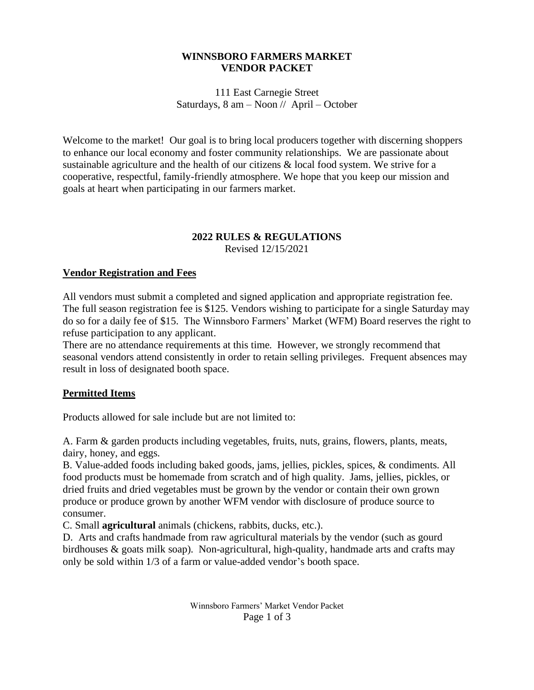#### **WINNSBORO FARMERS MARKET VENDOR PACKET**

111 East Carnegie Street Saturdays, 8 am – Noon // April – October

Welcome to the market! Our goal is to bring local producers together with discerning shoppers to enhance our local economy and foster community relationships. We are passionate about sustainable agriculture and the health of our citizens & local food system. We strive for a cooperative, respectful, family-friendly atmosphere. We hope that you keep our mission and goals at heart when participating in our farmers market.

# **2022 RULES & REGULATIONS**

Revised 12/15/2021

## **Vendor Registration and Fees**

All vendors must submit a completed and signed application and appropriate registration fee. The full season registration fee is \$125. Vendors wishing to participate for a single Saturday may do so for a daily fee of \$15. The Winnsboro Farmers' Market (WFM) Board reserves the right to refuse participation to any applicant.

There are no attendance requirements at this time. However, we strongly recommend that seasonal vendors attend consistently in order to retain selling privileges. Frequent absences may result in loss of designated booth space.

## **Permitted Items**

Products allowed for sale include but are not limited to:

A. Farm & garden products including vegetables, fruits, nuts, grains, flowers, plants, meats, dairy, honey, and eggs.

B. Value-added foods including baked goods, jams, jellies, pickles, spices, & condiments. All food products must be homemade from scratch and of high quality. Jams, jellies, pickles, or dried fruits and dried vegetables must be grown by the vendor or contain their own grown produce or produce grown by another WFM vendor with disclosure of produce source to consumer.

C. Small **agricultural** animals (chickens, rabbits, ducks, etc.).

D. Arts and crafts handmade from raw agricultural materials by the vendor (such as gourd birdhouses & goats milk soap). Non-agricultural, high-quality, handmade arts and crafts may only be sold within 1/3 of a farm or value-added vendor's booth space.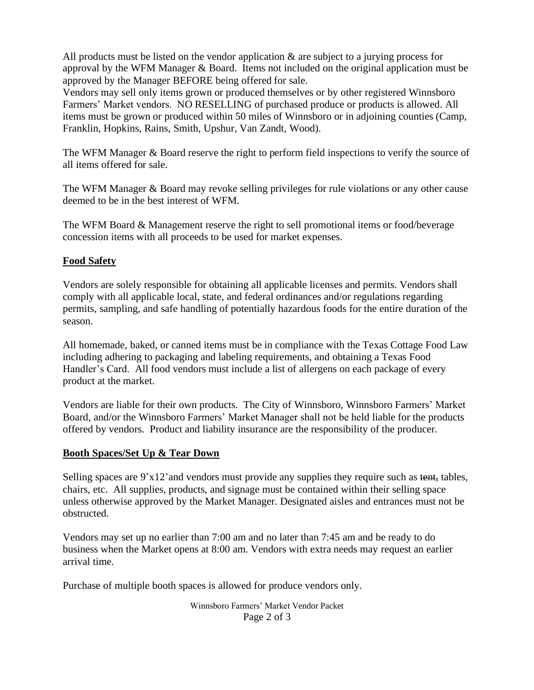All products must be listed on the vendor application  $\&$  are subject to a jurying process for approval by the WFM Manager & Board. Items not included on the original application must be approved by the Manager BEFORE being offered for sale.

Vendors may sell only items grown or produced themselves or by other registered Winnsboro Farmers' Market vendors. NO RESELLING of purchased produce or products is allowed. All items must be grown or produced within 50 miles of Winnsboro or in adjoining counties (Camp, Franklin, Hopkins, Rains, Smith, Upshur, Van Zandt, Wood).

The WFM Manager & Board reserve the right to perform field inspections to verify the source of all items offered for sale.

The WFM Manager & Board may revoke selling privileges for rule violations or any other cause deemed to be in the best interest of WFM.

The WFM Board & Management reserve the right to sell promotional items or food/beverage concession items with all proceeds to be used for market expenses.

## **Food Safety**

Vendors are solely responsible for obtaining all applicable licenses and permits. Vendors shall comply with all applicable local, state, and federal ordinances and/or regulations regarding permits, sampling, and safe handling of potentially hazardous foods for the entire duration of the season.

All homemade, baked, or canned items must be in compliance with the Texas Cottage Food Law including adhering to packaging and labeling requirements, and obtaining a Texas Food Handler's Card. All food vendors must include a list of allergens on each package of every product at the market.

Vendors are liable for their own products. The City of Winnsboro, Winnsboro Farmers' Market Board, and/or the Winnsboro Farmers' Market Manager shall not be held liable for the products offered by vendors. Product and liability insurance are the responsibility of the producer.

#### **Booth Spaces/Set Up & Tear Down**

Selling spaces are  $9'x12'$  and vendors must provide any supplies they require such as tent, tables, chairs, etc. All supplies, products, and signage must be contained within their selling space unless otherwise approved by the Market Manager. Designated aisles and entrances must not be obstructed.

Vendors may set up no earlier than 7:00 am and no later than 7:45 am and be ready to do business when the Market opens at 8:00 am. Vendors with extra needs may request an earlier arrival time.

Purchase of multiple booth spaces is allowed for produce vendors only.

Winnsboro Farmers' Market Vendor Packet Page 2 of 3